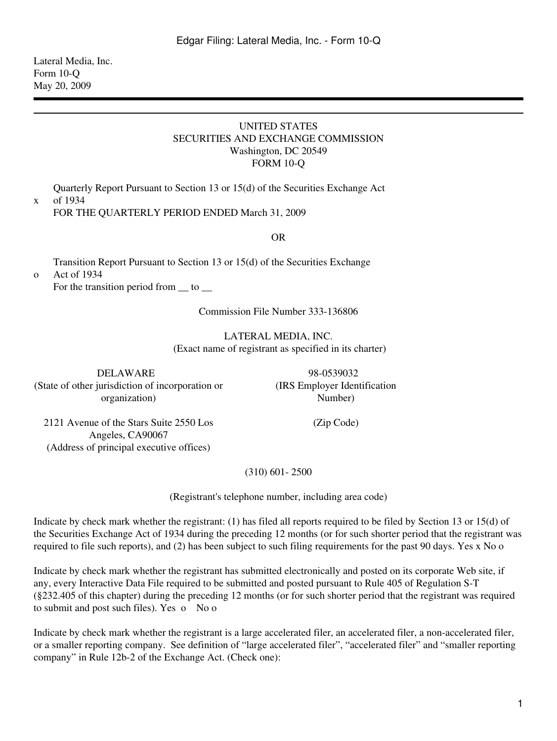Lateral Media, Inc. Form 10-Q May 20, 2009

#### UNITED STATES SECURITIES AND EXCHANGE COMMISSION Washington, DC 20549 FORM 10-Q

Quarterly Report Pursuant to Section 13 or 15(d) of the Securities Exchange Act of 1934

x

o

FOR THE QUARTERLY PERIOD ENDED March 31, 2009

OR

Transition Report Pursuant to Section 13 or 15(d) of the Securities Exchange Act of 1934

For the transition period from  $\_\_$  to  $\_\_$ 

Commission File Number 333-136806

LATERAL MEDIA, INC. (Exact name of registrant as specified in its charter)

DELAWARE 98-0539032 (State of other jurisdiction of incorporation or organization)

(IRS Employer Identification Number)

(Zip Code)

2121 Avenue of the Stars Suite 2550 Los Angeles, CA90067 (Address of principal executive offices)

(310) 601- 2500

(Registrant's telephone number, including area code)

Indicate by check mark whether the registrant: (1) has filed all reports required to be filed by Section 13 or 15(d) of the Securities Exchange Act of 1934 during the preceding 12 months (or for such shorter period that the registrant was required to file such reports), and (2) has been subject to such filing requirements for the past 90 days. Yes x No o

Indicate by check mark whether the registrant has submitted electronically and posted on its corporate Web site, if any, every Interactive Data File required to be submitted and posted pursuant to Rule 405 of Regulation S-T (§232.405 of this chapter) during the preceding 12 months (or for such shorter period that the registrant was required to submit and post such files). Yes o No o

Indicate by check mark whether the registrant is a large accelerated filer, an accelerated filer, a non-accelerated filer, or a smaller reporting company. See definition of "large accelerated filer", "accelerated filer" and "smaller reporting company" in Rule 12b-2 of the Exchange Act. (Check one):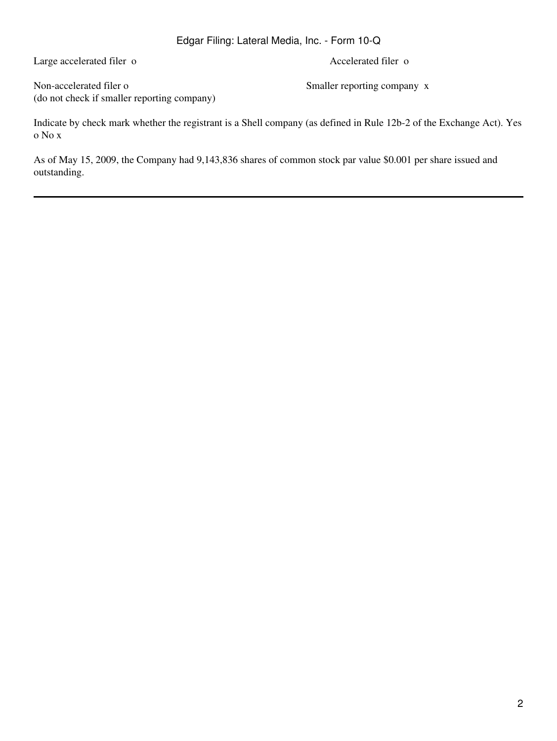Large accelerated filer o Accelerated filer o

Non-accelerated filer o Smaller reporting company x (do not check if smaller reporting company)

Indicate by check mark whether the registrant is a Shell company (as defined in Rule 12b-2 of the Exchange Act). Yes o No x

As of May 15, 2009, the Company had 9,143,836 shares of common stock par value \$0.001 per share issued and outstanding.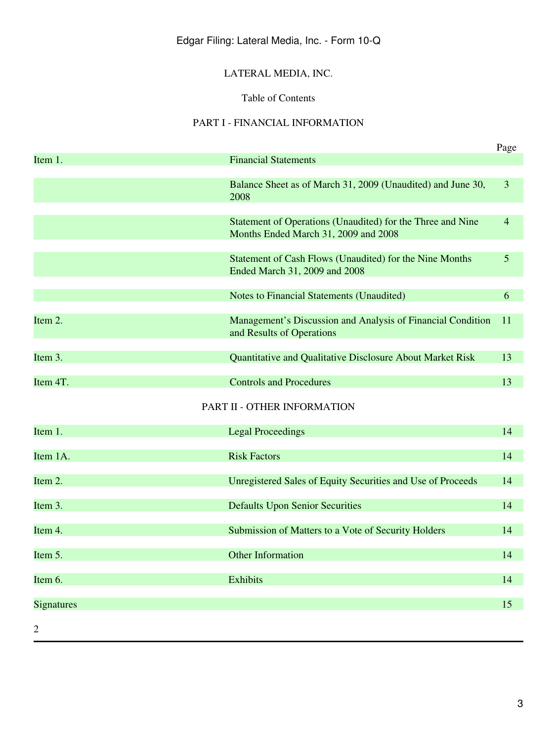# LATERAL MEDIA, INC.

## Table of Contents

## PART I - FINANCIAL INFORMATION

|                   |                                                                                                    | Page           |
|-------------------|----------------------------------------------------------------------------------------------------|----------------|
| Item 1.           | <b>Financial Statements</b>                                                                        |                |
|                   | Balance Sheet as of March 31, 2009 (Unaudited) and June 30,<br>2008                                | 3              |
|                   |                                                                                                    |                |
|                   | Statement of Operations (Unaudited) for the Three and Nine<br>Months Ended March 31, 2009 and 2008 | $\overline{4}$ |
|                   | Statement of Cash Flows (Unaudited) for the Nine Months<br>Ended March 31, 2009 and 2008           | 5              |
|                   | <b>Notes to Financial Statements (Unaudited)</b>                                                   | 6              |
| Item 2.           | Management's Discussion and Analysis of Financial Condition<br>and Results of Operations           | 11             |
|                   |                                                                                                    |                |
| Item 3.           | Quantitative and Qualitative Disclosure About Market Risk                                          | 13             |
| Item 4T.          | <b>Controls and Procedures</b>                                                                     | 13             |
|                   | PART II - OTHER INFORMATION                                                                        |                |
| Item 1.           | <b>Legal Proceedings</b>                                                                           | 14             |
| Item 1A.          | <b>Risk Factors</b>                                                                                | 14             |
| Item 2.           | Unregistered Sales of Equity Securities and Use of Proceeds                                        | 14             |
| Item 3.           | <b>Defaults Upon Senior Securities</b>                                                             | 14             |
| Item 4.           | Submission of Matters to a Vote of Security Holders                                                | 14             |
| Item 5.           | <b>Other Information</b>                                                                           | 14             |
| Item 6.           | Exhibits                                                                                           | 14             |
| <b>Signatures</b> |                                                                                                    | 15             |
| 2                 |                                                                                                    |                |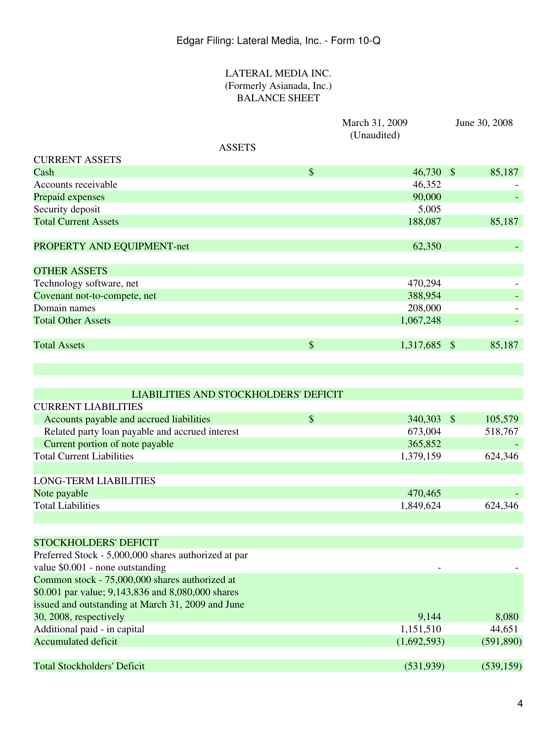## LATERAL MEDIA INC. (Formerly Asianada, Inc.) BALANCE SHEET

|                                                      |               | March 31, 2009<br>(Unaudited) |                         | June 30, 2008 |
|------------------------------------------------------|---------------|-------------------------------|-------------------------|---------------|
| <b>ASSETS</b>                                        |               |                               |                         |               |
| <b>CURRENT ASSETS</b>                                |               |                               |                         |               |
| Cash                                                 | $\mathcal{S}$ | $46,730$ \$                   |                         | 85,187        |
| Accounts receivable                                  |               | 46,352                        |                         |               |
| Prepaid expenses                                     |               | 90,000                        |                         |               |
| Security deposit                                     |               | 5,005                         |                         |               |
| <b>Total Current Assets</b>                          |               | 188,087                       |                         | 85,187        |
| PROPERTY AND EQUIPMENT-net                           |               | 62,350                        |                         |               |
| <b>OTHER ASSETS</b>                                  |               |                               |                         |               |
| Technology software, net                             |               | 470,294                       |                         |               |
| Covenant not-to-compete, net                         |               | 388,954                       |                         |               |
| Domain names                                         |               | 208,000                       |                         |               |
| <b>Total Other Assets</b>                            |               | 1,067,248                     |                         |               |
| <b>Total Assets</b>                                  | $\$\$         | 1,317,685                     | $\sqrt[6]{\frac{1}{2}}$ | 85,187        |
|                                                      |               |                               |                         |               |
| LIABILITIES AND STOCKHOLDERS' DEFICIT                |               |                               |                         |               |
| <b>CURRENT LIABILITIES</b>                           |               |                               |                         |               |
| Accounts payable and accrued liabilities             | $\mathcal{S}$ | 340,303                       | $\frac{1}{2}$           | 105,579       |
| Related party loan payable and accrued interest      |               | 673,004                       |                         | 518,767       |
| Current portion of note payable                      |               | 365,852                       |                         |               |
| <b>Total Current Liabilities</b>                     |               | 1,379,159                     |                         | 624,346       |
| <b>LONG-TERM LIABILITIES</b>                         |               |                               |                         |               |
| Note payable                                         |               | 470,465                       |                         |               |
| <b>Total Liabilities</b>                             |               | 1,849,624                     |                         | 624,346       |
|                                                      |               |                               |                         |               |
| <b>STOCKHOLDERS' DEFICIT</b>                         |               |                               |                         |               |
| Preferred Stock - 5,000,000 shares authorized at par |               |                               |                         |               |
| value \$0.001 - none outstanding                     |               |                               |                         |               |
| Common stock - 75,000,000 shares authorized at       |               |                               |                         |               |
| \$0.001 par value; 9,143,836 and 8,080,000 shares    |               |                               |                         |               |
| issued and outstanding at March 31, 2009 and June    |               |                               |                         |               |
| 30, 2008, respectively                               |               | 9,144                         |                         | 8,080         |
| Additional paid - in capital                         |               | 1,151,510                     |                         | 44,651        |
| <b>Accumulated deficit</b>                           |               | (1,692,593)                   |                         | (591, 890)    |
| <b>Total Stockholders' Deficit</b>                   |               | (531,939)                     |                         | (539, 159)    |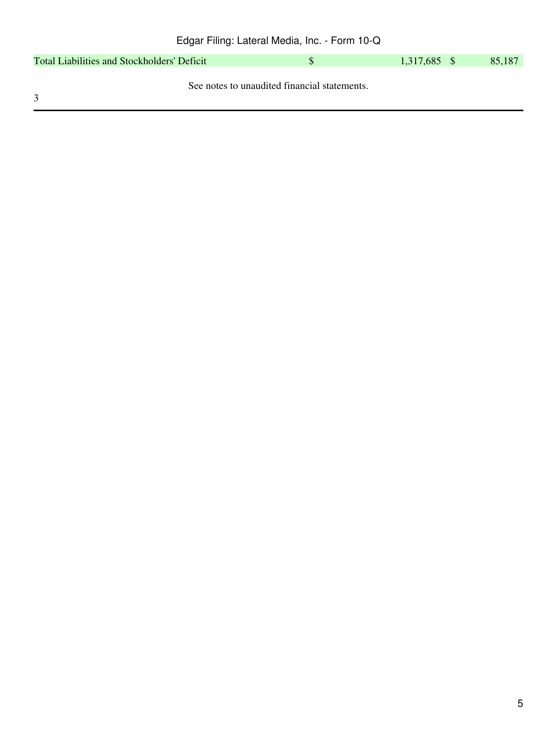| Total Liabilities and Stockholders' Deficit |                                              | 1,317,685 \$ | 85,187 |
|---------------------------------------------|----------------------------------------------|--------------|--------|
|                                             |                                              |              |        |
|                                             | See notes to unaudited financial statements. |              |        |
| $\mathcal{R}$                               |                                              |              |        |

5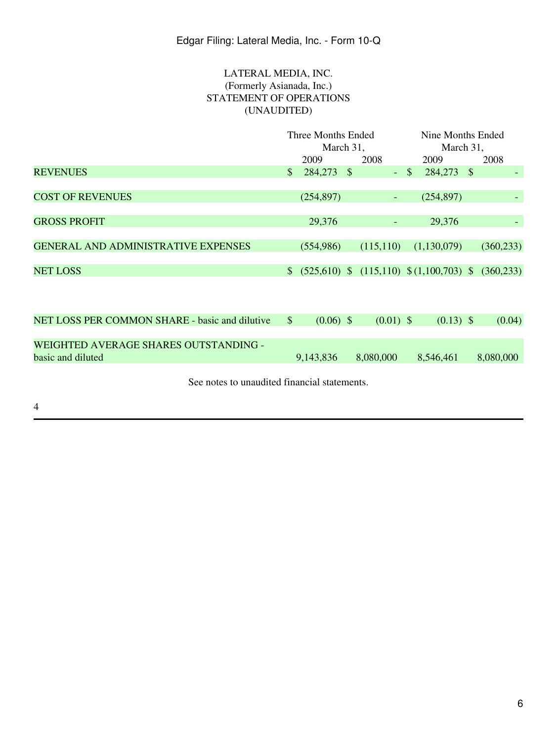## LATERAL MEDIA, INC. (Formerly Asianada, Inc.) STATEMENT OF OPERATIONS (UNAUDITED)

|                                                | Three Months Ended     |                                                                                                                                                                                                                                                                                                                                    |  | Nine Months Ended |               |                                           |  |            |
|------------------------------------------------|------------------------|------------------------------------------------------------------------------------------------------------------------------------------------------------------------------------------------------------------------------------------------------------------------------------------------------------------------------------|--|-------------------|---------------|-------------------------------------------|--|------------|
|                                                | March 31,              |                                                                                                                                                                                                                                                                                                                                    |  |                   | March 31,     |                                           |  |            |
|                                                |                        | 2009                                                                                                                                                                                                                                                                                                                               |  | 2008              |               | 2009                                      |  | 2008       |
| <b>REVENUES</b>                                | $\mathbb{S}$           | 284,273 \$                                                                                                                                                                                                                                                                                                                         |  | Ξ.                | $\mathcal{S}$ | 284,273 \$                                |  |            |
|                                                |                        |                                                                                                                                                                                                                                                                                                                                    |  |                   |               |                                           |  |            |
| <b>COST OF REVENUES</b>                        |                        | (254, 897)                                                                                                                                                                                                                                                                                                                         |  | ۰.                |               | (254, 897)                                |  |            |
|                                                |                        |                                                                                                                                                                                                                                                                                                                                    |  |                   |               |                                           |  |            |
| <b>GROSS PROFIT</b>                            |                        | 29,376                                                                                                                                                                                                                                                                                                                             |  |                   |               | 29,376                                    |  |            |
|                                                |                        |                                                                                                                                                                                                                                                                                                                                    |  |                   |               |                                           |  |            |
| <b>GENERAL AND ADMINISTRATIVE EXPENSES</b>     |                        | (554, 986)                                                                                                                                                                                                                                                                                                                         |  | (115, 110)        |               | (1,130,079)                               |  | (360, 233) |
|                                                |                        |                                                                                                                                                                                                                                                                                                                                    |  |                   |               |                                           |  |            |
| <b>NET LOSS</b>                                |                        |                                                                                                                                                                                                                                                                                                                                    |  |                   |               | $$ (525,610) $ (115,110) $ (1,100,703) $$ |  | (360, 233) |
|                                                |                        |                                                                                                                                                                                                                                                                                                                                    |  |                   |               |                                           |  |            |
|                                                |                        |                                                                                                                                                                                                                                                                                                                                    |  |                   |               |                                           |  |            |
| NET LOSS PER COMMON SHARE - basic and dilutive | $\sqrt{\frac{2}{\pi}}$ |                                                                                                                                                                                                                                                                                                                                    |  |                   |               |                                           |  |            |
|                                                |                        | $(0.06)$ \$                                                                                                                                                                                                                                                                                                                        |  | $(0.01)$ \$       |               | $(0.13)$ \$                               |  | (0.04)     |
| <b>WEIGHTED AVERAGE SHARES OUTSTANDING -</b>   |                        |                                                                                                                                                                                                                                                                                                                                    |  |                   |               |                                           |  |            |
| basic and diluted                              |                        | 9,143,836                                                                                                                                                                                                                                                                                                                          |  | 8,080,000         |               | 8,546,461                                 |  | 8,080,000  |
|                                                |                        |                                                                                                                                                                                                                                                                                                                                    |  |                   |               |                                           |  |            |
|                                                |                        | $\mathbf{1}$ $\mathbf{1}$ $\mathbf{1}$ $\mathbf{0}$ $\mathbf{1}$ $\mathbf{1}$ $\mathbf{1}$ $\mathbf{1}$ $\mathbf{1}$ $\mathbf{1}$ $\mathbf{1}$ $\mathbf{1}$ $\mathbf{1}$ $\mathbf{1}$ $\mathbf{1}$ $\mathbf{1}$ $\mathbf{1}$ $\mathbf{1}$ $\mathbf{1}$ $\mathbf{1}$ $\mathbf{1}$ $\mathbf{1}$ $\mathbf{1}$ $\mathbf{1}$ $\mathbf{$ |  |                   |               |                                           |  |            |

See notes to unaudited financial statements.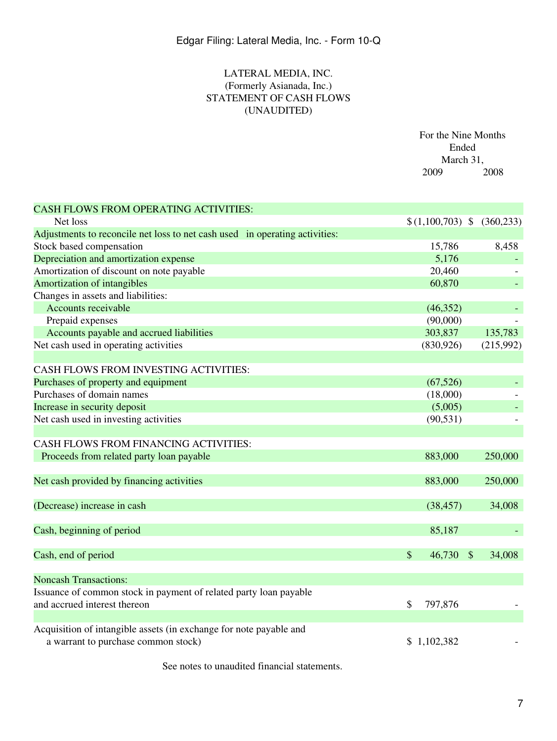## LATERAL MEDIA, INC. (Formerly Asianada, Inc.) STATEMENT OF CASH FLOWS (UNAUDITED)

|                                                                             | For the Nine Months<br>Ended<br>March 31, |                  |  |            |
|-----------------------------------------------------------------------------|-------------------------------------------|------------------|--|------------|
|                                                                             |                                           | 2009             |  | 2008       |
| <b>CASH FLOWS FROM OPERATING ACTIVITIES:</b>                                |                                           |                  |  |            |
| Net loss                                                                    |                                           | $(1,100,703)$ \$ |  | (360, 233) |
| Adjustments to reconcile net loss to net cash used in operating activities: |                                           |                  |  |            |
| Stock based compensation                                                    |                                           | 15,786           |  | 8,458      |
| Depreciation and amortization expense                                       |                                           | 5,176            |  |            |
| Amortization of discount on note payable                                    |                                           | 20,460           |  |            |
| Amortization of intangibles                                                 |                                           | 60,870           |  |            |
| Changes in assets and liabilities:                                          |                                           |                  |  |            |
| Accounts receivable                                                         |                                           | (46, 352)        |  |            |
| Prepaid expenses                                                            |                                           | (90,000)         |  |            |
| Accounts payable and accrued liabilities                                    |                                           | 303,837          |  | 135,783    |
| Net cash used in operating activities                                       |                                           | (830, 926)       |  | (215,992)  |
|                                                                             |                                           |                  |  |            |
| CASH FLOWS FROM INVESTING ACTIVITIES:                                       |                                           |                  |  |            |
| Purchases of property and equipment                                         |                                           | (67, 526)        |  |            |
| Purchases of domain names                                                   |                                           | (18,000)         |  |            |
| Increase in security deposit                                                |                                           | (5,005)          |  |            |
| Net cash used in investing activities                                       |                                           | (90, 531)        |  |            |
|                                                                             |                                           |                  |  |            |
| CASH FLOWS FROM FINANCING ACTIVITIES:                                       |                                           |                  |  |            |
| Proceeds from related party loan payable                                    |                                           | 883,000          |  | 250,000    |
|                                                                             |                                           |                  |  |            |
| Net cash provided by financing activities                                   |                                           | 883,000          |  | 250,000    |
|                                                                             |                                           |                  |  |            |
| (Decrease) increase in cash                                                 |                                           | (38, 457)        |  | 34,008     |
|                                                                             |                                           |                  |  |            |
| Cash, beginning of period                                                   |                                           | 85,187           |  |            |
|                                                                             |                                           |                  |  |            |
| Cash, end of period                                                         | \$                                        | 46,730 \$        |  | 34,008     |
|                                                                             |                                           |                  |  |            |
| <b>Noncash Transactions:</b>                                                |                                           |                  |  |            |
| Issuance of common stock in payment of related party loan payable           |                                           |                  |  |            |
| and accrued interest thereon                                                | \$                                        | 797,876          |  |            |
|                                                                             |                                           |                  |  |            |
| Acquisition of intangible assets (in exchange for note payable and          |                                           |                  |  |            |
| a warrant to purchase common stock)                                         |                                           | \$1,102,382      |  |            |

See notes to unaudited financial statements.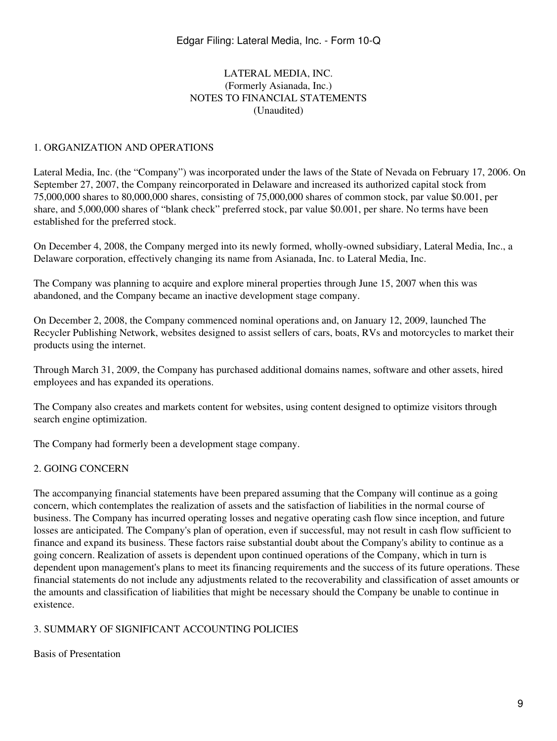#### LATERAL MEDIA, INC. (Formerly Asianada, Inc.) NOTES TO FINANCIAL STATEMENTS (Unaudited)

#### 1. ORGANIZATION AND OPERATIONS

Lateral Media, Inc. (the "Company") was incorporated under the laws of the State of Nevada on February 17, 2006. On September 27, 2007, the Company reincorporated in Delaware and increased its authorized capital stock from 75,000,000 shares to 80,000,000 shares, consisting of 75,000,000 shares of common stock, par value \$0.001, per share, and 5,000,000 shares of "blank check" preferred stock, par value \$0.001, per share. No terms have been established for the preferred stock.

On December 4, 2008, the Company merged into its newly formed, wholly-owned subsidiary, Lateral Media, Inc., a Delaware corporation, effectively changing its name from Asianada, Inc. to Lateral Media, Inc.

The Company was planning to acquire and explore mineral properties through June 15, 2007 when this was abandoned, and the Company became an inactive development stage company.

On December 2, 2008, the Company commenced nominal operations and, on January 12, 2009, launched The Recycler Publishing Network, websites designed to assist sellers of cars, boats, RVs and motorcycles to market their products using the internet.

Through March 31, 2009, the Company has purchased additional domains names, software and other assets, hired employees and has expanded its operations.

The Company also creates and markets content for websites, using content designed to optimize visitors through search engine optimization.

The Company had formerly been a development stage company.

#### 2. GOING CONCERN

The accompanying financial statements have been prepared assuming that the Company will continue as a going concern, which contemplates the realization of assets and the satisfaction of liabilities in the normal course of business. The Company has incurred operating losses and negative operating cash flow since inception, and future losses are anticipated. The Company's plan of operation, even if successful, may not result in cash flow sufficient to finance and expand its business. These factors raise substantial doubt about the Company's ability to continue as a going concern. Realization of assets is dependent upon continued operations of the Company, which in turn is dependent upon management's plans to meet its financing requirements and the success of its future operations. These financial statements do not include any adjustments related to the recoverability and classification of asset amounts or the amounts and classification of liabilities that might be necessary should the Company be unable to continue in existence.

#### 3. SUMMARY OF SIGNIFICANT ACCOUNTING POLICIES

Basis of Presentation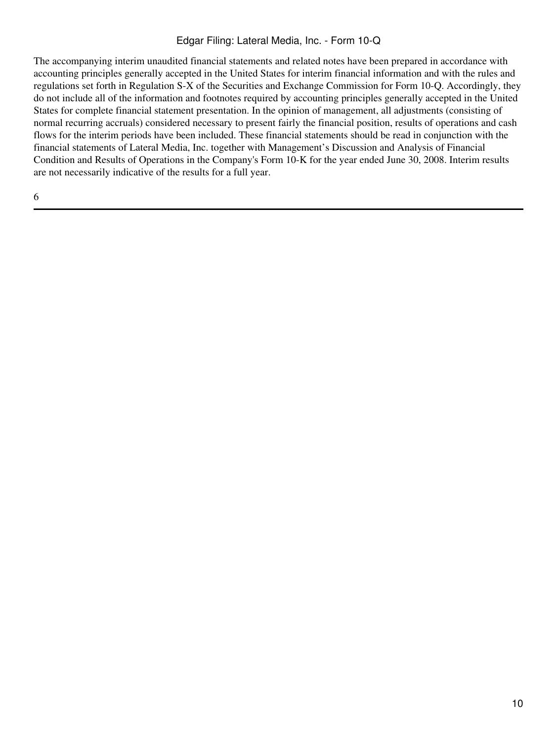The accompanying interim unaudited financial statements and related notes have been prepared in accordance with accounting principles generally accepted in the United States for interim financial information and with the rules and regulations set forth in Regulation S-X of the Securities and Exchange Commission for Form 10-Q. Accordingly, they do not include all of the information and footnotes required by accounting principles generally accepted in the United States for complete financial statement presentation. In the opinion of management, all adjustments (consisting of normal recurring accruals) considered necessary to present fairly the financial position, results of operations and cash flows for the interim periods have been included. These financial statements should be read in conjunction with the financial statements of Lateral Media, Inc. together with Management's Discussion and Analysis of Financial Condition and Results of Operations in the Company's Form 10-K for the year ended June 30, 2008. Interim results are not necessarily indicative of the results for a full year.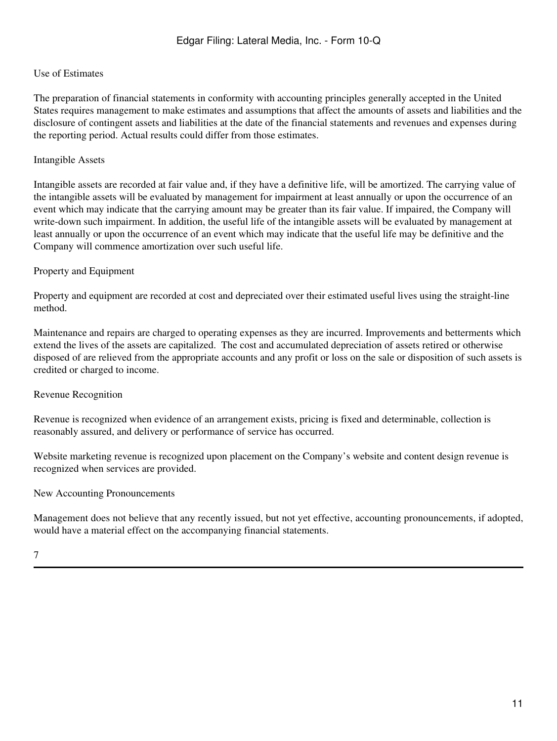#### Use of Estimates

The preparation of financial statements in conformity with accounting principles generally accepted in the United States requires management to make estimates and assumptions that affect the amounts of assets and liabilities and the disclosure of contingent assets and liabilities at the date of the financial statements and revenues and expenses during the reporting period. Actual results could differ from those estimates.

#### Intangible Assets

Intangible assets are recorded at fair value and, if they have a definitive life, will be amortized. The carrying value of the intangible assets will be evaluated by management for impairment at least annually or upon the occurrence of an event which may indicate that the carrying amount may be greater than its fair value. If impaired, the Company will write-down such impairment. In addition, the useful life of the intangible assets will be evaluated by management at least annually or upon the occurrence of an event which may indicate that the useful life may be definitive and the Company will commence amortization over such useful life.

#### Property and Equipment

Property and equipment are recorded at cost and depreciated over their estimated useful lives using the straight-line method.

Maintenance and repairs are charged to operating expenses as they are incurred. Improvements and betterments which extend the lives of the assets are capitalized. The cost and accumulated depreciation of assets retired or otherwise disposed of are relieved from the appropriate accounts and any profit or loss on the sale or disposition of such assets is credited or charged to income.

#### Revenue Recognition

Revenue is recognized when evidence of an arrangement exists, pricing is fixed and determinable, collection is reasonably assured, and delivery or performance of service has occurred.

Website marketing revenue is recognized upon placement on the Company's website and content design revenue is recognized when services are provided.

#### New Accounting Pronouncements

Management does not believe that any recently issued, but not yet effective, accounting pronouncements, if adopted, would have a material effect on the accompanying financial statements.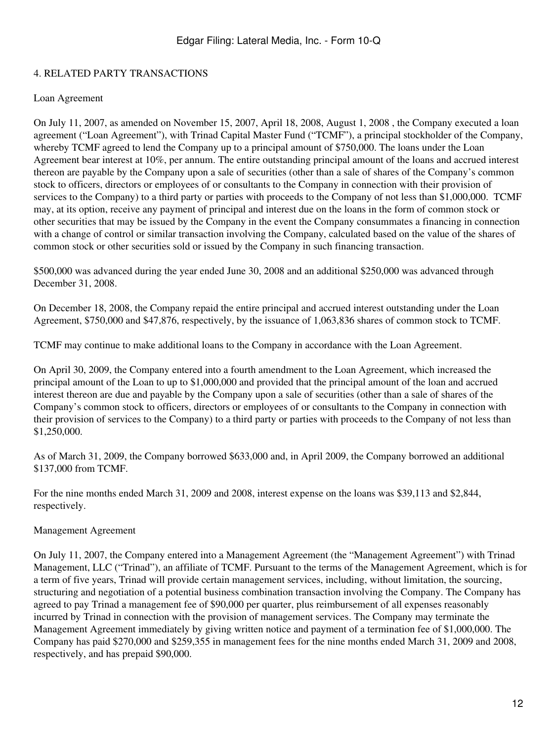## 4. RELATED PARTY TRANSACTIONS

#### Loan Agreement

On July 11, 2007, as amended on November 15, 2007, April 18, 2008, August 1, 2008 , the Company executed a loan agreement ("Loan Agreement"), with Trinad Capital Master Fund ("TCMF"), a principal stockholder of the Company, whereby TCMF agreed to lend the Company up to a principal amount of \$750,000. The loans under the Loan Agreement bear interest at 10%, per annum. The entire outstanding principal amount of the loans and accrued interest thereon are payable by the Company upon a sale of securities (other than a sale of shares of the Company's common stock to officers, directors or employees of or consultants to the Company in connection with their provision of services to the Company) to a third party or parties with proceeds to the Company of not less than \$1,000,000. TCMF may, at its option, receive any payment of principal and interest due on the loans in the form of common stock or other securities that may be issued by the Company in the event the Company consummates a financing in connection with a change of control or similar transaction involving the Company, calculated based on the value of the shares of common stock or other securities sold or issued by the Company in such financing transaction.

\$500,000 was advanced during the year ended June 30, 2008 and an additional \$250,000 was advanced through December 31, 2008.

On December 18, 2008, the Company repaid the entire principal and accrued interest outstanding under the Loan Agreement, \$750,000 and \$47,876, respectively, by the issuance of 1,063,836 shares of common stock to TCMF.

TCMF may continue to make additional loans to the Company in accordance with the Loan Agreement.

On April 30, 2009, the Company entered into a fourth amendment to the Loan Agreement, which increased the principal amount of the Loan to up to \$1,000,000 and provided that the principal amount of the loan and accrued interest thereon are due and payable by the Company upon a sale of securities (other than a sale of shares of the Company's common stock to officers, directors or employees of or consultants to the Company in connection with their provision of services to the Company) to a third party or parties with proceeds to the Company of not less than \$1,250,000.

As of March 31, 2009, the Company borrowed \$633,000 and, in April 2009, the Company borrowed an additional \$137,000 from TCMF.

For the nine months ended March 31, 2009 and 2008, interest expense on the loans was \$39,113 and \$2,844, respectively.

Management Agreement

On July 11, 2007, the Company entered into a Management Agreement (the "Management Agreement") with Trinad Management, LLC ("Trinad"), an affiliate of TCMF. Pursuant to the terms of the Management Agreement, which is for a term of five years, Trinad will provide certain management services, including, without limitation, the sourcing, structuring and negotiation of a potential business combination transaction involving the Company. The Company has agreed to pay Trinad a management fee of \$90,000 per quarter, plus reimbursement of all expenses reasonably incurred by Trinad in connection with the provision of management services. The Company may terminate the Management Agreement immediately by giving written notice and payment of a termination fee of \$1,000,000. The Company has paid \$270,000 and \$259,355 in management fees for the nine months ended March 31, 2009 and 2008, respectively, and has prepaid \$90,000.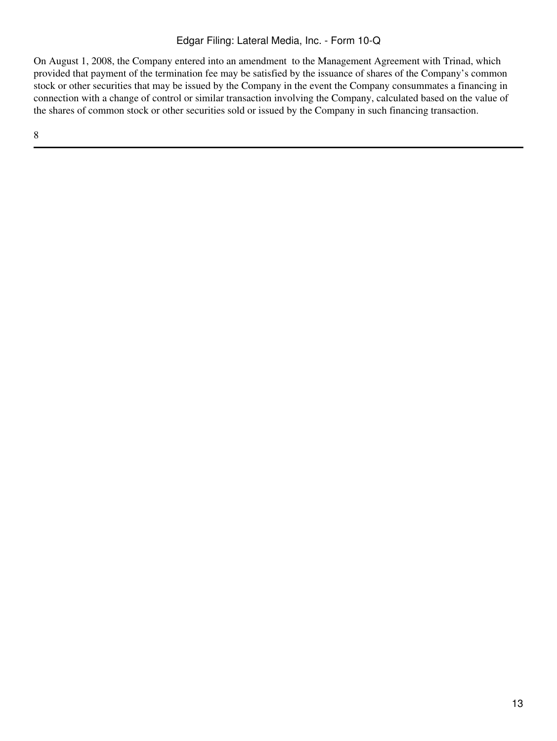On August 1, 2008, the Company entered into an amendment to the Management Agreement with Trinad, which provided that payment of the termination fee may be satisfied by the issuance of shares of the Company's common stock or other securities that may be issued by the Company in the event the Company consummates a financing in connection with a change of control or similar transaction involving the Company, calculated based on the value of the shares of common stock or other securities sold or issued by the Company in such financing transaction.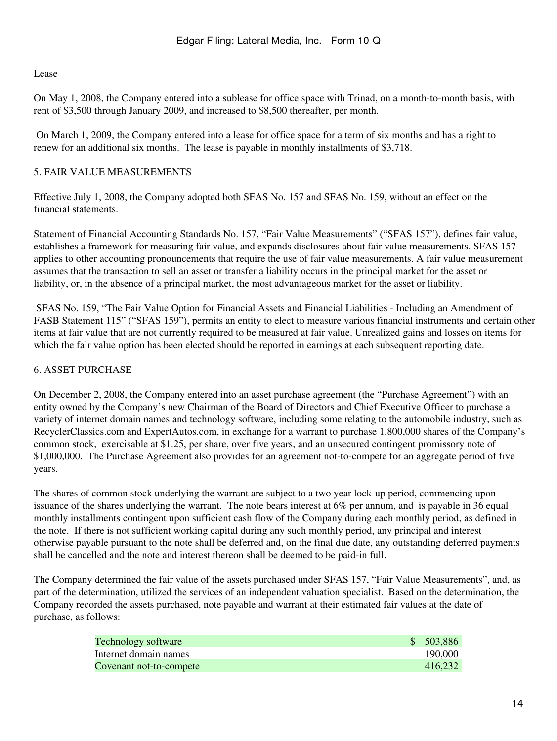#### Lease

On May 1, 2008, the Company entered into a sublease for office space with Trinad, on a month-to-month basis, with rent of \$3,500 through January 2009, and increased to \$8,500 thereafter, per month.

 On March 1, 2009, the Company entered into a lease for office space for a term of six months and has a right to renew for an additional six months. The lease is payable in monthly installments of \$3,718.

## 5. FAIR VALUE MEASUREMENTS

Effective July 1, 2008, the Company adopted both SFAS No. 157 and SFAS No. 159, without an effect on the financial statements.

Statement of Financial Accounting Standards No. 157, "Fair Value Measurements" ("SFAS 157"), defines fair value, establishes a framework for measuring fair value, and expands disclosures about fair value measurements. SFAS 157 applies to other accounting pronouncements that require the use of fair value measurements. A fair value measurement assumes that the transaction to sell an asset or transfer a liability occurs in the principal market for the asset or liability, or, in the absence of a principal market, the most advantageous market for the asset or liability.

 SFAS No. 159, "The Fair Value Option for Financial Assets and Financial Liabilities - Including an Amendment of FASB Statement 115" ("SFAS 159"), permits an entity to elect to measure various financial instruments and certain other items at fair value that are not currently required to be measured at fair value. Unrealized gains and losses on items for which the fair value option has been elected should be reported in earnings at each subsequent reporting date.

## 6. ASSET PURCHASE

On December 2, 2008, the Company entered into an asset purchase agreement (the "Purchase Agreement") with an entity owned by the Company's new Chairman of the Board of Directors and Chief Executive Officer to purchase a variety of internet domain names and technology software, including some relating to the automobile industry, such as RecyclerClassics.com and ExpertAutos.com, in exchange for a warrant to purchase 1,800,000 shares of the Company's common stock, exercisable at \$1.25, per share, over five years, and an unsecured contingent promissory note of \$1,000,000. The Purchase Agreement also provides for an agreement not-to-compete for an aggregate period of five years.

The shares of common stock underlying the warrant are subject to a two year lock-up period, commencing upon issuance of the shares underlying the warrant. The note bears interest at 6% per annum, and is payable in 36 equal monthly installments contingent upon sufficient cash flow of the Company during each monthly period, as defined in the note. If there is not sufficient working capital during any such monthly period, any principal and interest otherwise payable pursuant to the note shall be deferred and, on the final due date, any outstanding deferred payments shall be cancelled and the note and interest thereon shall be deemed to be paid-in full.

The Company determined the fair value of the assets purchased under SFAS 157, "Fair Value Measurements", and, as part of the determination, utilized the services of an independent valuation specialist. Based on the determination, the Company recorded the assets purchased, note payable and warrant at their estimated fair values at the date of purchase, as follows:

| <b>Technology software</b> | \$503,886 |
|----------------------------|-----------|
| Internet domain names      | 190,000   |
| Covenant not-to-compete    | 416.232   |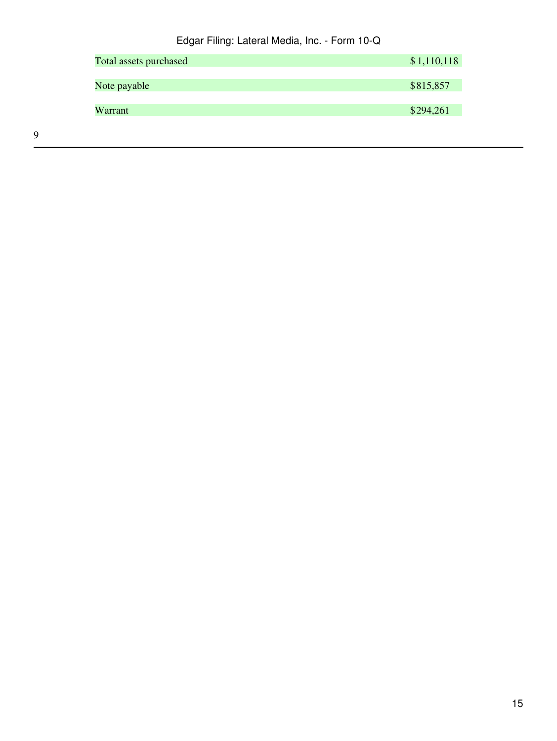| Total assets purchased | \$1,110,118 |
|------------------------|-------------|
| Note payable           | \$815,857   |
| Warrant                | \$294,261   |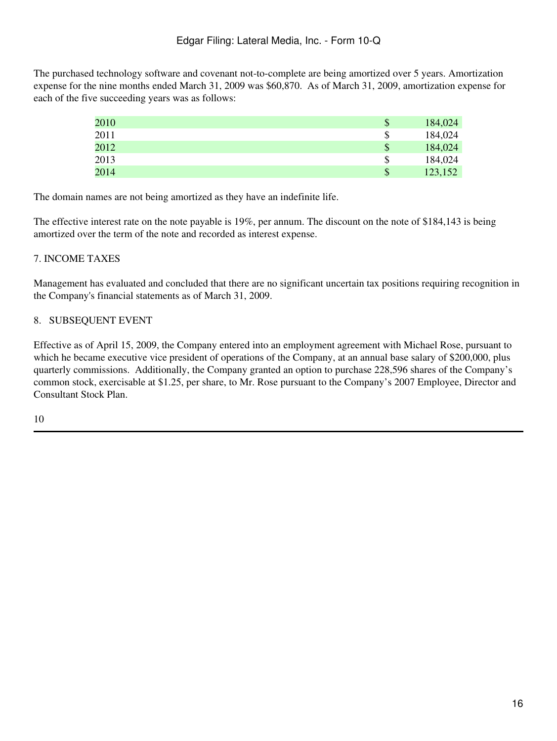The purchased technology software and covenant not-to-complete are being amortized over 5 years. Amortization expense for the nine months ended March 31, 2009 was \$60,870. As of March 31, 2009, amortization expense for each of the five succeeding years was as follows:

| 2010 | \$ | 184,024 |
|------|----|---------|
| 2011 | \$ | 184,024 |
| 2012 | \$ | 184,024 |
| 2013 | S  | 184,024 |
| 2014 | \$ | 123,152 |

The domain names are not being amortized as they have an indefinite life.

The effective interest rate on the note payable is 19%, per annum. The discount on the note of \$184,143 is being amortized over the term of the note and recorded as interest expense.

## 7. INCOME TAXES

Management has evaluated and concluded that there are no significant uncertain tax positions requiring recognition in the Company's financial statements as of March 31, 2009.

## 8. SUBSEQUENT EVENT

Effective as of April 15, 2009, the Company entered into an employment agreement with Michael Rose, pursuant to which he became executive vice president of operations of the Company, at an annual base salary of \$200,000, plus quarterly commissions. Additionally, the Company granted an option to purchase 228,596 shares of the Company's common stock, exercisable at \$1.25, per share, to Mr. Rose pursuant to the Company's 2007 Employee, Director and Consultant Stock Plan.

10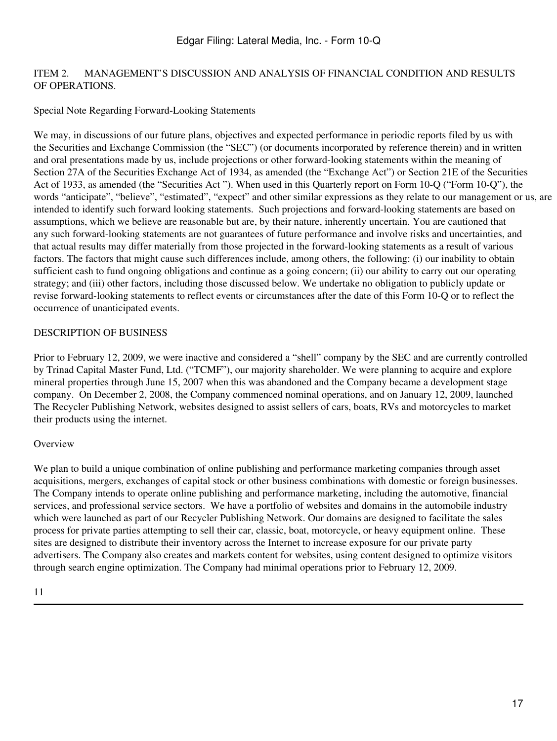#### ITEM 2. MANAGEMENT'S DISCUSSION AND ANALYSIS OF FINANCIAL CONDITION AND RESULTS OF OPERATIONS.

## Special Note Regarding Forward-Looking Statements

We may, in discussions of our future plans, objectives and expected performance in periodic reports filed by us with the Securities and Exchange Commission (the "SEC") (or documents incorporated by reference therein) and in written and oral presentations made by us, include projections or other forward-looking statements within the meaning of Section 27A of the Securities Exchange Act of 1934, as amended (the "Exchange Act") or Section 21E of the Securities Act of 1933, as amended (the "Securities Act "). When used in this Quarterly report on Form 10-Q ("Form 10-Q"), the words "anticipate", "believe", "estimated", "expect" and other similar expressions as they relate to our management or us, are intended to identify such forward looking statements. Such projections and forward-looking statements are based on assumptions, which we believe are reasonable but are, by their nature, inherently uncertain. You are cautioned that any such forward-looking statements are not guarantees of future performance and involve risks and uncertainties, and that actual results may differ materially from those projected in the forward-looking statements as a result of various factors. The factors that might cause such differences include, among others, the following: (i) our inability to obtain sufficient cash to fund ongoing obligations and continue as a going concern; (ii) our ability to carry out our operating strategy; and (iii) other factors, including those discussed below. We undertake no obligation to publicly update or revise forward-looking statements to reflect events or circumstances after the date of this Form 10-Q or to reflect the occurrence of unanticipated events.

## DESCRIPTION OF BUSINESS

Prior to February 12, 2009, we were inactive and considered a "shell" company by the SEC and are currently controlled by Trinad Capital Master Fund, Ltd. ("TCMF"), our majority shareholder. We were planning to acquire and explore mineral properties through June 15, 2007 when this was abandoned and the Company became a development stage company. On December 2, 2008, the Company commenced nominal operations, and on January 12, 2009, launched The Recycler Publishing Network, websites designed to assist sellers of cars, boats, RVs and motorcycles to market their products using the internet.

#### **Overview**

We plan to build a unique combination of online publishing and performance marketing companies through asset acquisitions, mergers, exchanges of capital stock or other business combinations with domestic or foreign businesses. The Company intends to operate online publishing and performance marketing, including the automotive, financial services, and professional service sectors. We have a portfolio of websites and domains in the automobile industry which were launched as part of our Recycler Publishing Network. Our domains are designed to facilitate the sales process for private parties attempting to sell their car, classic, boat, motorcycle, or heavy equipment online. These sites are designed to distribute their inventory across the Internet to increase exposure for our private party advertisers. The Company also creates and markets content for websites, using content designed to optimize visitors through search engine optimization. The Company had minimal operations prior to February 12, 2009.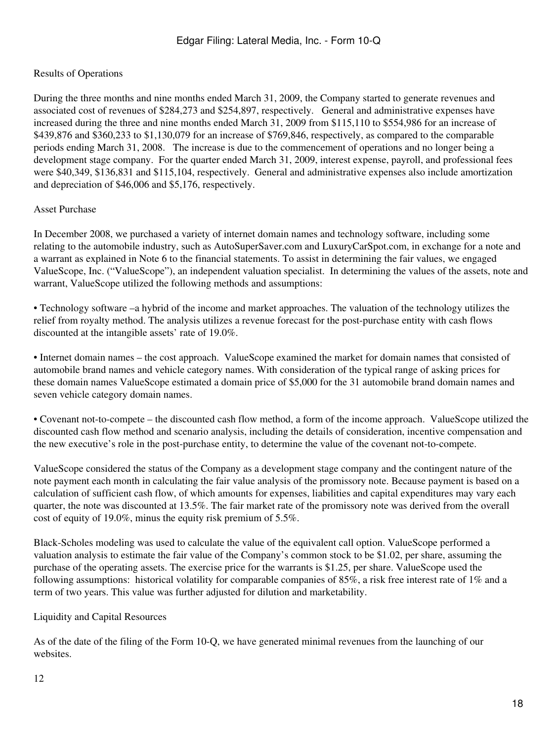## Results of Operations

During the three months and nine months ended March 31, 2009, the Company started to generate revenues and associated cost of revenues of \$284,273 and \$254,897, respectively. General and administrative expenses have increased during the three and nine months ended March 31, 2009 from \$115,110 to \$554,986 for an increase of \$439,876 and \$360,233 to \$1,130,079 for an increase of \$769,846, respectively, as compared to the comparable periods ending March 31, 2008. The increase is due to the commencement of operations and no longer being a development stage company. For the quarter ended March 31, 2009, interest expense, payroll, and professional fees were \$40,349, \$136,831 and \$115,104, respectively. General and administrative expenses also include amortization and depreciation of \$46,006 and \$5,176, respectively.

#### Asset Purchase

In December 2008, we purchased a variety of internet domain names and technology software, including some relating to the automobile industry, such as AutoSuperSaver.com and LuxuryCarSpot.com, in exchange for a note and a warrant as explained in Note 6 to the financial statements. To assist in determining the fair values, we engaged ValueScope, Inc. ("ValueScope"), an independent valuation specialist. In determining the values of the assets, note and warrant, ValueScope utilized the following methods and assumptions:

• Technology software –a hybrid of the income and market approaches. The valuation of the technology utilizes the relief from royalty method. The analysis utilizes a revenue forecast for the post-purchase entity with cash flows discounted at the intangible assets' rate of 19.0%.

• Internet domain names – the cost approach. ValueScope examined the market for domain names that consisted of automobile brand names and vehicle category names. With consideration of the typical range of asking prices for these domain names ValueScope estimated a domain price of \$5,000 for the 31 automobile brand domain names and seven vehicle category domain names.

• Covenant not-to-compete – the discounted cash flow method, a form of the income approach. ValueScope utilized the discounted cash flow method and scenario analysis, including the details of consideration, incentive compensation and the new executive's role in the post-purchase entity, to determine the value of the covenant not-to-compete.

ValueScope considered the status of the Company as a development stage company and the contingent nature of the note payment each month in calculating the fair value analysis of the promissory note. Because payment is based on a calculation of sufficient cash flow, of which amounts for expenses, liabilities and capital expenditures may vary each quarter, the note was discounted at 13.5%. The fair market rate of the promissory note was derived from the overall cost of equity of 19.0%, minus the equity risk premium of 5.5%.

Black-Scholes modeling was used to calculate the value of the equivalent call option. ValueScope performed a valuation analysis to estimate the fair value of the Company's common stock to be \$1.02, per share, assuming the purchase of the operating assets. The exercise price for the warrants is \$1.25, per share. ValueScope used the following assumptions: historical volatility for comparable companies of 85%, a risk free interest rate of 1% and a term of two years. This value was further adjusted for dilution and marketability.

Liquidity and Capital Resources

As of the date of the filing of the Form 10-Q, we have generated minimal revenues from the launching of our websites.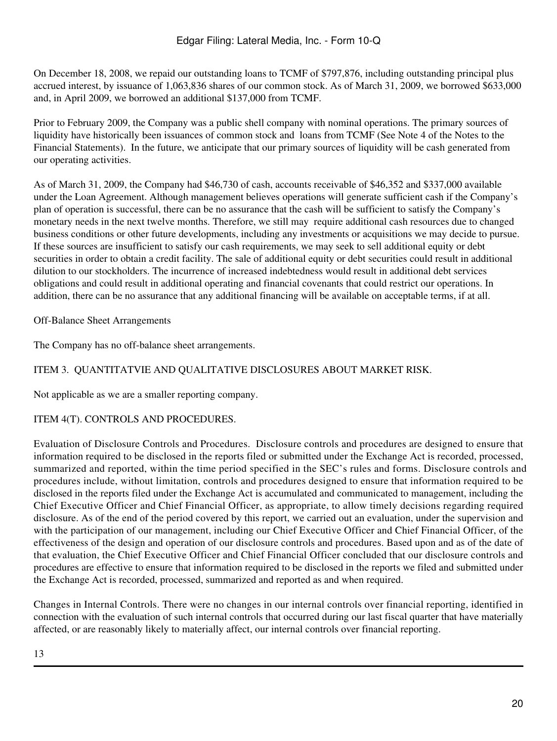On December 18, 2008, we repaid our outstanding loans to TCMF of \$797,876, including outstanding principal plus accrued interest, by issuance of 1,063,836 shares of our common stock. As of March 31, 2009, we borrowed \$633,000 and, in April 2009, we borrowed an additional \$137,000 from TCMF.

Prior to February 2009, the Company was a public shell company with nominal operations. The primary sources of liquidity have historically been issuances of common stock and loans from TCMF (See Note 4 of the Notes to the Financial Statements). In the future, we anticipate that our primary sources of liquidity will be cash generated from our operating activities.

As of March 31, 2009, the Company had \$46,730 of cash, accounts receivable of \$46,352 and \$337,000 available under the Loan Agreement. Although management believes operations will generate sufficient cash if the Company's plan of operation is successful, there can be no assurance that the cash will be sufficient to satisfy the Company's monetary needs in the next twelve months. Therefore, we still may require additional cash resources due to changed business conditions or other future developments, including any investments or acquisitions we may decide to pursue. If these sources are insufficient to satisfy our cash requirements, we may seek to sell additional equity or debt securities in order to obtain a credit facility. The sale of additional equity or debt securities could result in additional dilution to our stockholders. The incurrence of increased indebtedness would result in additional debt services obligations and could result in additional operating and financial covenants that could restrict our operations. In addition, there can be no assurance that any additional financing will be available on acceptable terms, if at all.

Off-Balance Sheet Arrangements

The Company has no off-balance sheet arrangements.

# ITEM 3. QUANTITATVIE AND QUALITATIVE DISCLOSURES ABOUT MARKET RISK.

Not applicable as we are a smaller reporting company.

## ITEM 4(T). CONTROLS AND PROCEDURES.

Evaluation of Disclosure Controls and Procedures. Disclosure controls and procedures are designed to ensure that information required to be disclosed in the reports filed or submitted under the Exchange Act is recorded, processed, summarized and reported, within the time period specified in the SEC's rules and forms. Disclosure controls and procedures include, without limitation, controls and procedures designed to ensure that information required to be disclosed in the reports filed under the Exchange Act is accumulated and communicated to management, including the Chief Executive Officer and Chief Financial Officer, as appropriate, to allow timely decisions regarding required disclosure. As of the end of the period covered by this report, we carried out an evaluation, under the supervision and with the participation of our management, including our Chief Executive Officer and Chief Financial Officer, of the effectiveness of the design and operation of our disclosure controls and procedures. Based upon and as of the date of that evaluation, the Chief Executive Officer and Chief Financial Officer concluded that our disclosure controls and procedures are effective to ensure that information required to be disclosed in the reports we filed and submitted under the Exchange Act is recorded, processed, summarized and reported as and when required.

Changes in Internal Controls. There were no changes in our internal controls over financial reporting, identified in connection with the evaluation of such internal controls that occurred during our last fiscal quarter that have materially affected, or are reasonably likely to materially affect, our internal controls over financial reporting.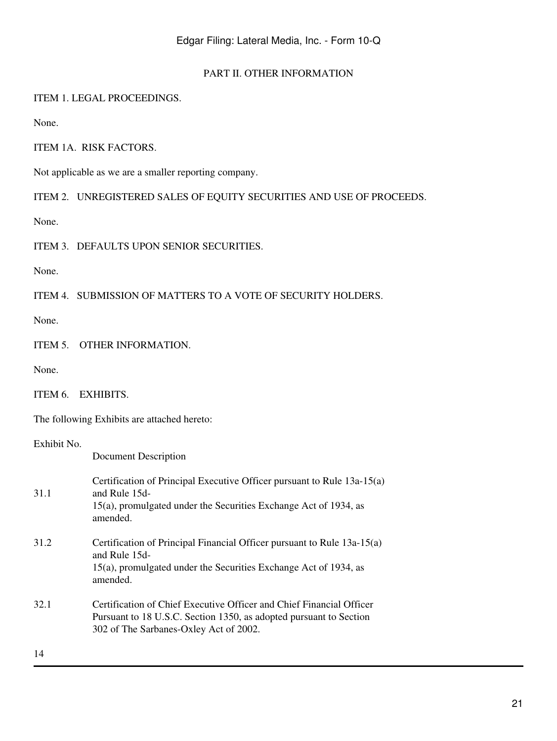#### PART II. OTHER INFORMATION

#### ITEM 1. LEGAL PROCEEDINGS.

None.

## ITEM 1A. RISK FACTORS.

Not applicable as we are a smaller reporting company.

ITEM 2. UNREGISTERED SALES OF EQUITY SECURITIES AND USE OF PROCEEDS.

None.

ITEM 3. DEFAULTS UPON SENIOR SECURITIES.

None.

ITEM 4. SUBMISSION OF MATTERS TO A VOTE OF SECURITY HOLDERS.

None.

ITEM 5. OTHER INFORMATION.

None.

The following Exhibits are attached hereto:

#### Exhibit No.

Document Description

| 31.1 | Certification of Principal Executive Officer pursuant to Rule 13a-15(a)<br>and Rule 15d-<br>15(a), promulgated under the Securities Exchange Act of 1934, as<br>amended.             |
|------|--------------------------------------------------------------------------------------------------------------------------------------------------------------------------------------|
| 31.2 | Certification of Principal Financial Officer pursuant to Rule 13a-15(a)<br>and Rule 15d-<br>15(a), promulgated under the Securities Exchange Act of 1934, as<br>amended.             |
| 32.1 | Certification of Chief Executive Officer and Chief Financial Officer<br>Pursuant to 18 U.S.C. Section 1350, as adopted pursuant to Section<br>302 of The Sarbanes-Oxley Act of 2002. |
| 14   |                                                                                                                                                                                      |